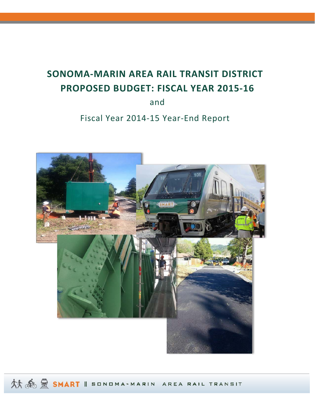# **SONOMA‐MARIN AREA RAIL TRANSIT DISTRICT PROPOSED BUDGET: FISCAL YEAR 2015‐16**

and

## Fiscal Year 2014‐15 Year‐End Report



AT A BORNART II SONDMA-MARIN AREA RAIL TRANSIT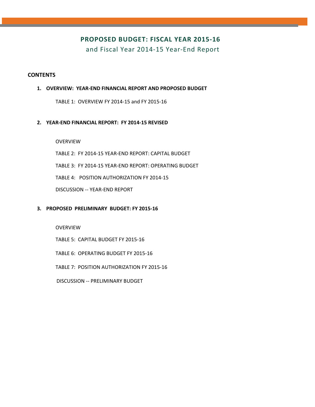## **PROPOSED BUDGET: FISCAL YEAR 2015‐16**

and Fiscal Year 2014‐15 Year‐End Report

#### **CONTENTS**

#### **1. OVERVIEW: YEAR‐END FINANCIAL REPORT AND PROPOSED BUDGET**

TABLE 1: OVERVIEW FY 2014‐15 and FY 2015‐16

#### **2. YEAR‐END FINANCIAL REPORT: FY 2014‐15 REVISED**

OVERVIEW

TABLE 2: FY 2014‐15 YEAR‐END REPORT: CAPITAL BUDGET

TABLE 3: FY 2014‐15 YEAR‐END REPORT: OPERATING BUDGET

TABLE 4: POSITION AUTHORIZATION FY 2014‐15

DISCUSSION ‐‐ YEAR‐END REPORT

#### **3. PROPOSED PRELIMINARY BUDGET: FY 2015‐16**

OVERVIEW

TABLE 5: CAPITAL BUDGET FY 2015‐16

TABLE 6: OPERATING BUDGET FY 2015‐16

TABLE 7: POSITION AUTHORIZATION FY 2015‐16

DISCUSSION ‐‐ PRELIMINARY BUDGET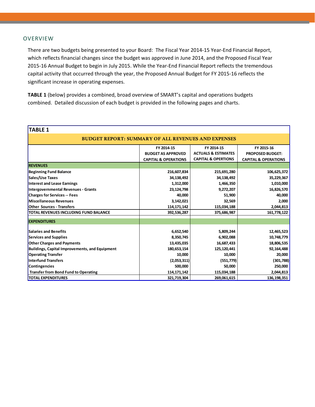#### **OVERVIEW**

There are two budgets being presented to your Board: The Fiscal Year 2014‐15 Year‐End Financial Report, which reflects financial changes since the budget was approved in June 2014, and the Proposed Fiscal Year 2015-16 Annual Budget to begin in July 2015. While the Year-End Financial Report reflects the tremendous capital activity that occurred through the year, the Proposed Annual Budget for FY 2015‐16 reflects the significant increase in operating expenses.

**TABLE 1** (below) provides a combined, broad overview of SMART's capital and operations budgets combined. Detailed discussion of each budget is provided in the following pages and charts.

| <b>TABLE 1</b>                                             |                                 |                                |                                 |  |  |  |  |
|------------------------------------------------------------|---------------------------------|--------------------------------|---------------------------------|--|--|--|--|
| <b>BUDGET REPORT: SUMMARY OF ALL REVENUES AND EXPENSES</b> |                                 |                                |                                 |  |  |  |  |
|                                                            | FY 2014-15                      | FY 2014-15                     | FY 2015-16                      |  |  |  |  |
|                                                            | <b>BUDGET AS APPROVED</b>       | <b>ACTUALS &amp; ESTIMATES</b> | <b>PROPOSED BUDGET:</b>         |  |  |  |  |
|                                                            | <b>CAPITAL &amp; OPERATIONS</b> | <b>CAPITAL &amp; OPERTIONS</b> | <b>CAPITAL &amp; OPERATIONS</b> |  |  |  |  |
| <b>REVENUES</b>                                            |                                 |                                |                                 |  |  |  |  |
| <b>Beginning Fund Balance</b>                              | 216,607,834                     | 215,691,280                    | 106,625,372                     |  |  |  |  |
| Sales/Use Taxes                                            | 34,138,492                      | 34,138,492                     | 35,229,367                      |  |  |  |  |
| Interest and Lease Earnings                                | 1,312,000                       | 1,466,350                      | 1,010,000                       |  |  |  |  |
| Intergovernmental Revenues - Grants                        | 23,124,798                      | 9,272,207                      | 16,826,570                      |  |  |  |  |
| <b>Charges for Services -- Fees</b>                        | 40,000                          | 51,900                         | 40,000                          |  |  |  |  |
| Miscellaneous Revenues                                     | 3,142,021                       | 32,569                         | 2,000                           |  |  |  |  |
| <b>Other Sources - Transfers</b>                           | 114, 171, 142                   | 115,034,188                    | 2,044,813                       |  |  |  |  |
| TOTAL REVENUES INCLUDING FUND BALANCE                      | 392,536,287                     | 375,686,987                    | 161,778,122                     |  |  |  |  |
| <b>EXPENDITURES</b>                                        |                                 |                                |                                 |  |  |  |  |
| <b>Salaries and Benefits</b>                               | 6,652,540                       | 5,809,244                      | 12,465,523                      |  |  |  |  |
| <b>Services and Supplies</b>                               | 8,350,745                       | 6,902,088                      | 10,748,779                      |  |  |  |  |
| <b>Other Charges and Payments</b>                          | 13,435,035                      | 16,687,433                     | 18,806,535                      |  |  |  |  |
| <b>Buildings, Capital Improvements, and Equipment</b>      | 180,653,154                     | 125,120,441                    | 92,164,488                      |  |  |  |  |
| <b>Operating Transfer</b>                                  | 10,000                          | 10,000                         | 20,000                          |  |  |  |  |
| Interfund Transfers                                        | (2,053,311)                     | (551, 779)                     | (301,788)                       |  |  |  |  |
| Contingencies                                              | 500,000                         | 50,000                         | 250,000                         |  |  |  |  |
| <b>Transfer from Bond Fund to Operating</b>                | 114, 171, 142                   | 115,034,188                    | 2,044,813                       |  |  |  |  |
| <b>TOTAL EXPENDITURES</b>                                  | 321,719,304                     | 269,061,615                    | 136,198,351                     |  |  |  |  |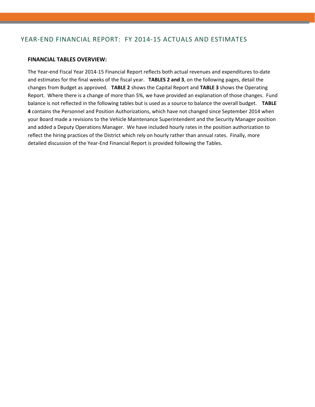## YEAR‐END FINANCIAL REPORT: FY 2014‐15 ACTUALS AND ESTIMATES

#### **FINANCIAL TABLES OVERVIEW:**

The Year‐end Fiscal Year 2014‐15 Financial Report reflects both actual revenues and expenditures to‐date and estimates for the final weeks of the fiscal year. **TABLES 2 and 3**, on the following pages, detail the changes from Budget as approved. **TABLE 2** shows the Capital Report and **TABLE 3** shows the Operating Report. Where there is a change of more than 5%, we have provided an explanation of those changes. Fund balance is not reflected in the following tables but is used as a source to balance the overall budget. **TABLE 4** contains the Personnel and Position Authorizations, which have not changed since September 2014 when your Board made a revisions to the Vehicle Maintenance Superintendent and the Security Manager position and added a Deputy Operations Manager. We have included hourly rates in the position authorization to reflect the hiring practices of the District which rely on hourly rather than annual rates. Finally, more detailed discussion of the Year‐End Financial Report is provided following the Tables.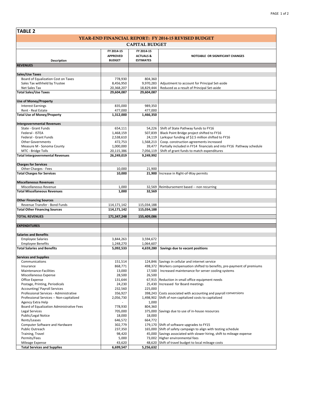| <b>TABLE 2</b>                                        |                                                |                                                        |                                                                                              |  |  |  |  |  |
|-------------------------------------------------------|------------------------------------------------|--------------------------------------------------------|----------------------------------------------------------------------------------------------|--|--|--|--|--|
|                                                       |                                                |                                                        | <b>YEAR-END FINANCIAL REPORT: FY 2014-15 REVISED BUDGET</b>                                  |  |  |  |  |  |
| <b>CAPITAL BUDGET</b>                                 |                                                |                                                        |                                                                                              |  |  |  |  |  |
|                                                       |                                                |                                                        |                                                                                              |  |  |  |  |  |
| <b>Description</b>                                    | FY 2014-15<br><b>APPROVED</b><br><b>BUDGET</b> | FY 2014-15<br><b>ACTUALS &amp;</b><br><b>ESTIMATES</b> | NOTEABLE OR SIGNIFICANT CHANGES                                                              |  |  |  |  |  |
| <b>REVENUES</b>                                       |                                                |                                                        |                                                                                              |  |  |  |  |  |
|                                                       |                                                |                                                        |                                                                                              |  |  |  |  |  |
| <b>Sales/Use Taxes</b>                                |                                                |                                                        |                                                                                              |  |  |  |  |  |
| Board of Equalization Cost on Taxes                   | 778,930                                        | 804,360                                                |                                                                                              |  |  |  |  |  |
| Sales Tax withheld by Trustee                         | 8,456,950                                      | 9,970,283                                              | Adjustment to account for Principal Set-aside                                                |  |  |  |  |  |
| Net Sales Tax                                         | 20,368,207                                     | 18,829,444                                             | Reduced as a result of Principal Set-aside                                                   |  |  |  |  |  |
| <b>Total Sales/Use Taxes</b>                          | 29,604,087                                     | 29,604,087                                             |                                                                                              |  |  |  |  |  |
| <b>Use of Money/Property</b>                          |                                                |                                                        |                                                                                              |  |  |  |  |  |
| <b>Interest Earnings</b>                              | 835,000                                        | 989,350                                                |                                                                                              |  |  |  |  |  |
| Rent - Real Estate                                    | 477,000                                        | 477,000                                                |                                                                                              |  |  |  |  |  |
| <b>Total Use of Money/Property</b>                    | 1,312,000                                      | 1,466,350                                              |                                                                                              |  |  |  |  |  |
|                                                       |                                                |                                                        |                                                                                              |  |  |  |  |  |
| <b>Intergovernmental Revenues</b>                     |                                                |                                                        |                                                                                              |  |  |  |  |  |
| State - Grant Funds                                   | 654,111                                        |                                                        | 54,226 Shift of State Pathway funds to FY16                                                  |  |  |  |  |  |
| Federal - ISTEA                                       | 1,468,159                                      | 507,839                                                | Black Point Bridge project shifted to FY16                                                   |  |  |  |  |  |
| Federal - Grant Funds<br><b>Other Governments</b>     | 2,538,610<br>472,753                           | 24,119<br>1,568,213                                    | Larkspur funding of \$2.5 million shifted to FY16<br>Coop. construction agreements increased |  |  |  |  |  |
| Measure M - Sonoma County                             | 1,000,000                                      | 39,477                                                 | Partially included in FY14 financials and into FY16 Pathway schedule                         |  |  |  |  |  |
| MTC - Bridge Tolls                                    | 20,115,386                                     | 7,056,119                                              | Shift of grant funds to match expenditures                                                   |  |  |  |  |  |
| <b>Total Intergovernmental Revenues</b>               | 26,249,019                                     | 9,249,992                                              |                                                                                              |  |  |  |  |  |
|                                                       |                                                |                                                        |                                                                                              |  |  |  |  |  |
| <b>Charges for Services</b>                           |                                                |                                                        |                                                                                              |  |  |  |  |  |
| Other Charges - Fees                                  | 10,000                                         | 21,900                                                 |                                                                                              |  |  |  |  |  |
| <b>Total Charges for Services</b>                     | 10,000                                         |                                                        | 21,900 Increase in Right-of-Way permits                                                      |  |  |  |  |  |
| <b>Miscellaneous Revenues</b>                         |                                                |                                                        |                                                                                              |  |  |  |  |  |
| Miscellaneous Revenue                                 | 1,000                                          | 32,569                                                 | Reimbursement based -- non recurring                                                         |  |  |  |  |  |
| <b>Total Miscellaneous Revenues</b>                   | 1,000                                          | 32,569                                                 |                                                                                              |  |  |  |  |  |
|                                                       |                                                |                                                        |                                                                                              |  |  |  |  |  |
| <b>Other Financing Sources</b>                        |                                                |                                                        |                                                                                              |  |  |  |  |  |
| Revenue Transfer - Bond Funds                         | 114, 171, 142                                  | 115,034,188                                            |                                                                                              |  |  |  |  |  |
| <b>Total Other Financing Sources</b>                  | 114,171,142                                    | 115,034,188                                            |                                                                                              |  |  |  |  |  |
| <b>TOTAL REVENUES</b>                                 | 171,347,248                                    | 155,409,086                                            |                                                                                              |  |  |  |  |  |
|                                                       |                                                |                                                        |                                                                                              |  |  |  |  |  |
| <b>EXPENDITURES</b>                                   |                                                |                                                        |                                                                                              |  |  |  |  |  |
| <b>Salaries and Benefits</b>                          |                                                |                                                        |                                                                                              |  |  |  |  |  |
| <b>Employee Salaries</b>                              | 3,844,263                                      | 3,594,672                                              |                                                                                              |  |  |  |  |  |
| <b>Employee Benefits</b>                              | 1,248,270                                      | 1,064,607                                              |                                                                                              |  |  |  |  |  |
| <b>Total Salaries and Benefits</b>                    | 5,092,533                                      | 4,659,280                                              | Savings due to vacant positions                                                              |  |  |  |  |  |
|                                                       |                                                |                                                        |                                                                                              |  |  |  |  |  |
| <b>Services and Supplies</b>                          |                                                |                                                        |                                                                                              |  |  |  |  |  |
| Communications                                        | 151,514                                        |                                                        | 124,846 Savings in cellular and internet service                                             |  |  |  |  |  |
| Insurance                                             | 868,771                                        | 498,372                                                | Workers compensation shifted to benefits, pre-payment of premiums                            |  |  |  |  |  |
| Maintenance-Facilities<br>Miscellaneous Expense       | 13,000<br>28,500                               | 17,500<br>26,500                                       | Increased maintenance for server cooling systems                                             |  |  |  |  |  |
| Office Expense                                        | 131,644                                        |                                                        | 67,915 Reduction in small office equipment needs                                             |  |  |  |  |  |
| Postage, Printing, Periodicals                        | 24,230                                         |                                                        | 25,430 Increased for Board meetings                                                          |  |  |  |  |  |
| <b>Accounting/Payroll Services</b>                    | 232,560                                        | 225,000                                                |                                                                                              |  |  |  |  |  |
| Professional Services - Administrative                | 356,927                                        |                                                        | 398,243 Costs associated with accounting and payroll conversions                             |  |  |  |  |  |
| Professional Services -- Non-capitalized              | 2,056,730                                      | 1,498,902                                              | Shift of non-capitalized costs to capitalized                                                |  |  |  |  |  |
| Agency Extra Help                                     |                                                | 1,000                                                  |                                                                                              |  |  |  |  |  |
| Board of Equalization Administrative Fees             | 778,930                                        | 804,360                                                |                                                                                              |  |  |  |  |  |
| Legal Services                                        | 705,000                                        | 375,000                                                | Savings due to use of in-house resources                                                     |  |  |  |  |  |
| Public/Legal Notice                                   | 18,000                                         | 18,000                                                 |                                                                                              |  |  |  |  |  |
| Rents/Leases<br><b>Computer Software and Hardware</b> | 646,572<br>302,779                             | 664,772                                                | 179,170 Shift of software upgrades to FY15                                                   |  |  |  |  |  |
| Public Outreach                                       | 237,350                                        |                                                        | 165,000 Shift of safety campaign to align with testing schedule                              |  |  |  |  |  |
| Training, Travel                                      | 98,420                                         |                                                        | 45,000 Savings associated with slower hiring, shift to mileage expense                       |  |  |  |  |  |
| Permits/Fees                                          | 5,000                                          |                                                        | 73,002 Higher environmental fees                                                             |  |  |  |  |  |
| Mileage Expense                                       | 43,620                                         |                                                        | 48,620 Shift of travel budget to local mileage costs                                         |  |  |  |  |  |
| <b>Total Services and Supplies</b>                    | 6,699,547                                      | 5,256,632                                              |                                                                                              |  |  |  |  |  |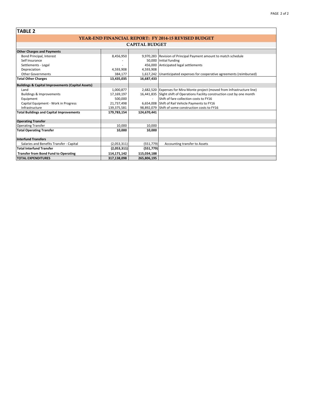| <b>TABLE 2</b>                                               |             |                          |                                                                               |  |  |  |  |  |
|--------------------------------------------------------------|-------------|--------------------------|-------------------------------------------------------------------------------|--|--|--|--|--|
| <b>YEAR-END FINANCIAL REPORT: FY 2014-15 REVISED BUDGET</b>  |             |                          |                                                                               |  |  |  |  |  |
| <b>CAPITAL BUDGET</b>                                        |             |                          |                                                                               |  |  |  |  |  |
| <b>Other Charges and Payments</b>                            |             |                          |                                                                               |  |  |  |  |  |
| Bond Principal, Interest                                     | 8,456,950   |                          | 9,970,283 Revision of Principal Payment amount to match schedule              |  |  |  |  |  |
| Self Insurance                                               |             |                          | 50,000 Initial funding                                                        |  |  |  |  |  |
| Settlements - Legal                                          |             |                          | 456,000 Anticipated legal settlements                                         |  |  |  |  |  |
| Depreciation                                                 | 4,593,908   | 4,593,908                |                                                                               |  |  |  |  |  |
| <b>Other Governments</b>                                     | 384,177     |                          | 1,617,242 Unanticipated expenses for cooperative agreements (reimbursed)      |  |  |  |  |  |
| <b>Total Other Charges</b>                                   | 13,435,035  | 16,687,433               |                                                                               |  |  |  |  |  |
| <b>Buildings &amp; Capital Improvements (Capital Assets)</b> |             |                          |                                                                               |  |  |  |  |  |
| Land                                                         | 1,000,877   |                          | 2,682,520 Expenses for Mira Monte project (moved from Infrastructure line)    |  |  |  |  |  |
| <b>Buildings &amp; Improvements</b>                          | 17,169,197  |                          | 16,441,835 Slight shift of Operations Facility construction cost by one month |  |  |  |  |  |
| Equipment                                                    | 500,000     | $\overline{\phantom{a}}$ | Shift of fare collection costs to FY16                                        |  |  |  |  |  |
| Capital Equipment - Work in Progress                         | 21,737,498  |                          | 6,654,008 Shift of Rail Vehicle Payments to FY16                              |  |  |  |  |  |
| Infrastructure                                               | 139,375,581 |                          | 98,892,079 Shift of some construction costs to FY16                           |  |  |  |  |  |
| <b>Total Buildings and Capital Improvements</b>              | 179,783,154 | 124,670,441              |                                                                               |  |  |  |  |  |
| <b>Operating Transfer</b>                                    |             |                          |                                                                               |  |  |  |  |  |
| <b>Operating Transfer</b>                                    | 10.000      | 10.000                   |                                                                               |  |  |  |  |  |
| <b>Total Operating Transfer</b>                              | 10,000      | 10,000                   |                                                                               |  |  |  |  |  |
| <b>Interfund Transfers</b>                                   |             |                          |                                                                               |  |  |  |  |  |
| Salaries and Benefits Transfer - Capital                     | (2,053,311) | (551, 779)               | Accounting transfer to Assets                                                 |  |  |  |  |  |
| <b>Total Interfund Transfer</b>                              | (2,053,311) | (551, 779)               |                                                                               |  |  |  |  |  |
| <b>Transfer from Bond Fund to Operating</b>                  | 114,171,142 | 115,034,188              |                                                                               |  |  |  |  |  |
| <b>TOTAL EXPENDITURES</b>                                    | 317,138,098 | 265,806,195              |                                                                               |  |  |  |  |  |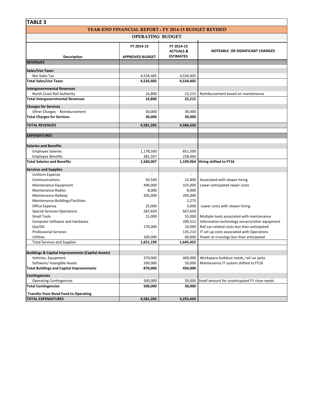| <b>TABLE 3</b>                                               |                                                              |                                    |                                                                                            |
|--------------------------------------------------------------|--------------------------------------------------------------|------------------------------------|--------------------------------------------------------------------------------------------|
|                                                              | <b>YEAR-END FINANCIAL REPORT : FY 2014-15 BUDGET REVISED</b> |                                    |                                                                                            |
|                                                              | <b>OPERATING BUDGET</b>                                      |                                    |                                                                                            |
|                                                              | FY 2014-15                                                   | FY 2014-15<br><b>ACTUALS &amp;</b> | <b>NOTEABLE OR SIGNIFICANT CHANGES</b>                                                     |
| Description                                                  | <b>APPROVED BUDGET</b>                                       | <b>ESTIMATES</b>                   |                                                                                            |
| <b>REVENUES</b>                                              |                                                              |                                    |                                                                                            |
| Sales/Use Taxes                                              |                                                              |                                    |                                                                                            |
| Net Sales Tax                                                | 4,534,405                                                    | 4,534,405                          |                                                                                            |
| <b>Total Sales/Use Taxes</b>                                 | 4,534,405                                                    | 4,534,405                          |                                                                                            |
|                                                              |                                                              |                                    |                                                                                            |
| <b>Intergovernmental Revenues</b>                            |                                                              |                                    |                                                                                            |
| North Coast Rail Authority                                   | 16,800                                                       | 22,215                             | Reimbursement based on maintenance                                                         |
| <b>Total Intergovernmental Revenues</b>                      | 16,800                                                       | 22,215                             |                                                                                            |
| <b>Charges for Services</b>                                  |                                                              |                                    |                                                                                            |
| Other Charges - Reimbursement                                | 30,000                                                       | 30,000                             |                                                                                            |
| <b>Total Charges for Services</b>                            | 30,000                                                       | 30,000                             |                                                                                            |
|                                                              |                                                              |                                    |                                                                                            |
| <b>TOTAL REVENUES</b>                                        | 4,581,205                                                    | 4,586,620                          |                                                                                            |
|                                                              |                                                              |                                    |                                                                                            |
| <b>EXPENDITURES</b>                                          |                                                              |                                    |                                                                                            |
| <b>Salaries and Benefits</b>                                 |                                                              |                                    |                                                                                            |
| <b>Employee Salaries</b>                                     | 1,178,500                                                    | 851,500                            |                                                                                            |
| <b>Employee Benefits</b>                                     | 381,507                                                      | 258,464                            |                                                                                            |
| <b>Total Salaries and Benefits</b>                           | 1,560,007                                                    |                                    | 1,109,964 Hiring shifted to FY16                                                           |
|                                                              |                                                              |                                    |                                                                                            |
| <b>Services and Supplies</b>                                 |                                                              |                                    |                                                                                            |
| Uniform Expense                                              |                                                              |                                    |                                                                                            |
| Communications                                               | 50,540                                                       | 22,800                             | Associated with slower hiring                                                              |
| Maintenance-Equipment                                        | 490,000                                                      | 325,000                            | Lower anticipated repair costs                                                             |
| Maintenance-Radios                                           | 8,000                                                        | 8,000                              |                                                                                            |
| Maintenance-Railway                                          | 205,000                                                      | 205,000                            |                                                                                            |
| Maintenance-Buildings/Facilities                             |                                                              | 2,275                              |                                                                                            |
| Office Expense                                               | 25,000                                                       | 5,000                              | Lower costs with slower hiring                                                             |
| <b>Special Services-Operations</b>                           | 587,659                                                      | 607,659                            |                                                                                            |
| <b>Small Tools</b>                                           | 15,000                                                       | 55,000                             | Multiple tools associated with maintenance                                                 |
| <b>Computer Software and Hardware</b>                        |                                                              | 209,512                            | Information technology servers/other equipment                                             |
| Gas/Oil                                                      | 170,000                                                      | 10,000                             | Rail car-related costs less than anticipated<br>IT set up costs associated with Operations |
| <b>Professional Services</b><br><b>Utilities</b>             | 100,000                                                      | 135,210<br>60,000                  | Power at crossings less than anticipated                                                   |
| <b>Total Services and Supplies</b>                           | 1,651,199                                                    | 1,645,455                          |                                                                                            |
|                                                              |                                                              |                                    |                                                                                            |
| <b>Buildings &amp; Capital Improvements (Capital Assets)</b> |                                                              |                                    |                                                                                            |
| Vehicles, Equipment                                          | 370,000                                                      | 400,000                            | Workspace buildout needs, rail car jacks                                                   |
| Software/ Intangible Assets                                  | 500,000                                                      | 50,000                             | Maintenance IT system shifted to FY16                                                      |
| <b>Total Buildings and Capital Improvements</b>              | 870,000                                                      | 450,000                            |                                                                                            |
|                                                              |                                                              |                                    |                                                                                            |
| <b>Contingencies</b>                                         |                                                              |                                    |                                                                                            |
| <b>Operating Contingencies</b>                               | 500,000                                                      | 50,000                             | Small amount for unanticpated FY close needs                                               |
| <b>Total Contingencies</b>                                   | 500,000                                                      | 50,000                             |                                                                                            |
| <b>Transfer from Bond Fund to Operating</b>                  |                                                              |                                    |                                                                                            |
| <b>TOTAL EXPENDITURES</b>                                    | 4,581,205                                                    | 3,255,420                          |                                                                                            |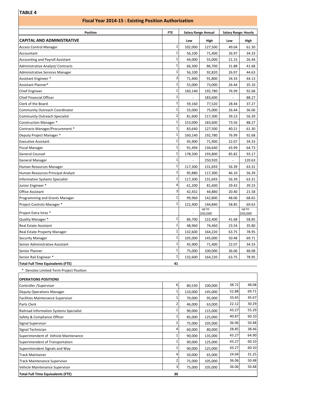## **TABLE 4**

| <b>Fiscal Year 2014-15: Existing Position Authorization</b> |                              |                            |          |                             |          |
|-------------------------------------------------------------|------------------------------|----------------------------|----------|-----------------------------|----------|
| <b>Position</b>                                             | <b>FTE</b>                   | <b>Salary Range Annual</b> |          | <b>Salary Range: Hourly</b> |          |
| <b>CAPITAL AND ADMINISTRATIVE</b>                           |                              | Low                        | High     | Low                         | High     |
| <b>Access Control Manager</b>                               | $\mathbf{1}$                 | 102,000                    | 127,500  | 49.04                       | 61.30    |
| Accountant                                                  | $\mathbf{1}$                 | 56,100                     | 71,400   | 26.97                       | 34.33    |
| <b>Accounting and Payroll Assistant</b>                     | $\mathbf{1}$                 | 44,000                     | 55,000   | 21.15                       | 26.44    |
| Administrative Analyst/ Contracts                           | $\mathbf{1}$                 | 66,300                     | 86,700   | 31.88                       | 41.68    |
| Administrative Services Manager                             | $\mathbf{1}$                 | 56,100                     | 92,820   | 26.97                       | 44.63    |
| Assistant Engineer *                                        | 3                            | 71,400                     | 91,800   | 34.33                       | 44.13    |
| Assistant Planner*                                          | $\mathbf{1}$                 | 55,000                     | 73,000   | 26.44                       | 35.10    |
| <b>Chief Engineer</b>                                       | $\mathbf{1}$                 | 160,140                    | 192,780  | 76.99                       | 92.68    |
| <b>Chief Financial Officer</b>                              | $\mathbf{1}$                 | $\blacksquare$             | 183,600  | ÷,                          | 88.27    |
| Clerk of the Board                                          | $\mathbf{1}$                 | 59,160                     | 77,520   | 28.44                       | 37.27    |
| Community Outreach Coordinator                              | $\mathbf{1}$                 | 55,000                     | 75,000   | 26.44                       | 36.06    |
| Community Outreach Specialist                               | $\overline{2}$               | 81,600                     | 117,300  | 39.23                       | 56.39    |
| Construction Manager *                                      | $\mathbf{1}$                 | 153,000                    | 183,600  | 73.56                       | 88.27    |
| Contracts Manager/Procurement *                             | $\mathbf{1}$                 | 83,640                     | 127,500  | 40.21                       | 61.30    |
| Deputy Project Manager *                                    | $\mathbf{1}$                 | 160,140                    | 192,780  | 76.99                       | 92.68    |
| <b>Executive Assistant</b>                                  | $\mathbf{1}$                 | 45,900                     | 71,400   | 22.07                       | 34.33    |
| <b>Fiscal Manager</b>                                       | $\mathbf{1}$                 | 91,494                     | 134,640  | 43.99                       | 64.73    |
| <b>General Counsel</b>                                      | $\mathbf{1}$                 | 178,500                    | 193,800  | 85.82                       | 93.17    |
| General Manager                                             | $\mathbf{1}$                 |                            | 250,920  | $\overline{\phantom{a}}$    | 120.63   |
| Human Resources Manager                                     | $\mathbf{1}$                 | 117,300                    | 131,693  | 56.39                       | 63.31    |
| Human Resources Principal Analyst                           | $\mathbf{1}$                 | 95,880                     | 117,300  | 46.10                       | 56.39    |
| <b>Information Systems Specialist</b>                       | $\mathbf{1}$                 | 117,300                    | 131,693  | 56.39                       | 63.31    |
| Junior Engineer *                                           | 4                            | 61,200                     | 81,600   | 29.42                       | 39.23    |
| Office Assistant                                            | 3                            | 42,432                     | 44,880   | 20.40                       | 21.58    |
| Programming and Grants Manager                              | $\mathbf{1}$                 | 99,960                     | 142,800  | 48.06                       | 68.65    |
| Project Controls Manager *                                  | $\mathbf{1}$                 | 122,400                    | 144,840  | 58.85                       | 69.63    |
|                                                             |                              |                            | up to    |                             | up to    |
| Project Extra hires *                                       |                              |                            | \$50,000 |                             | \$50,000 |
| Quality Manager *                                           | $\mathbf{1}$<br>$\mathbf{1}$ | 86,700                     | 122,400  | 41.68                       | 58.85    |
| Real Estate Assistant                                       |                              | 48,960                     | 74,460   | 23.54                       | 35.80    |
| Real Estate Property Manager                                | $\mathbf 1$                  | 132,600                    | 164,220  | 63.75                       | 78.95    |
| <b>Security Manager</b>                                     | $\mathbf{1}$                 | 105,000                    | 145,000  | 50.48                       | 69.71    |
| Senior Administrative Assistant                             | $\mathbf{1}$                 | 45,900                     | 71,400   | 22.07                       | 34.33    |
| Senior Planner                                              | $\mathbf{1}$                 | 75,000                     | 100,000  | 36.06                       | 48.08    |
| Senior Rail Engineer *                                      | $\mathbf{1}$                 | 132,600                    | 164,220  | 63.75                       | 78.95    |
| <b>Total Full Time Equivalents (FTE)</b>                    | 41                           |                            |          |                             |          |
| * Denotes Limited-Term Project Position                     |                              |                            |          |                             |          |
| <b>OPERATIONS POSITIONS</b>                                 |                              |                            |          |                             |          |
| Controller /Supervisor                                      | 6                            | 80,530                     | 100,000  | 38.72                       | 48.08    |
| <b>Deputy Operations Manager</b>                            | $\mathbf 1$                  | 110,000                    | 145,000  | 52.88                       | 69.71    |
| <b>Facilities Maintenance Supervisor</b>                    | $\mathbf{1}$                 | 70,000                     | 95,000   | 33.65                       | 45.67    |
| Parts Clerk                                                 | $\overline{2}$               | 46,000                     | 63,000   | 22.12                       | 30.29    |
| Railroad Information Systems Specialist                     | $\mathbf{1}$                 | 90,000                     | 115,000  | 43.27                       | 55.29    |
| Safety & Compliance Officer                                 | $\mathbf{1}$                 | 85,000                     | 125,000  | 40.87                       | 60.10    |
| Signal Supervisor                                           | 2                            | 75,000                     | 105,000  | 36.06                       | 50.48    |
| Signal Technician                                           | 4                            | 60,000                     | 80,000   | 28.85                       | 38.46    |
| Superintendent of Vehicle Maintenance                       | $\mathbf{1}$                 | 90,000                     | 135,000  | 43.27                       | 64.90    |
| Superintendent of Transportation                            | $\mathbf{1}$                 | 90,000                     | 125,000  | 43.27                       | 60.10    |
| Superintendent Signals and Way                              | $\mathbf{1}$                 | 90,000                     | 125,000  | 43.27                       | 60.10    |
| <b>Track Maintainer</b>                                     | 4                            | 50,000                     | 65,000   | 24.04                       | 31.25    |
| <b>Track Maintenance Supervisor</b>                         | 2                            | 75,000                     | 105,000  | 36.06                       | 50.48    |
| Vehicle Maintenance Supervisor                              | $\overline{\mathbf{3}}$      | 75,000                     | 105,000  | 36.06                       | 50.48    |
|                                                             |                              |                            |          |                             |          |

| <b>Total Full Time Equivalents (FTE)</b> |  |
|------------------------------------------|--|
|                                          |  |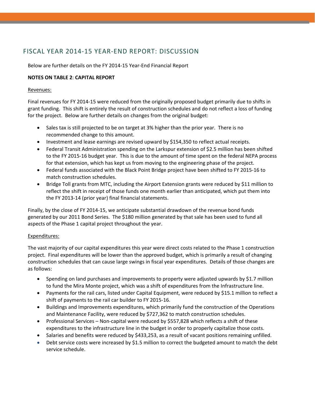## FISCAL YEAR 2014‐15 YEAR‐END REPORT: DISCUSSION

Below are further details on the FY 2014‐15 Year‐End Financial Report

#### **NOTES ON TABLE 2**: **CAPITAL REPORT**

#### Revenues:

Final revenues for FY 2014‐15 were reduced from the originally proposed budget primarily due to shifts in grant funding. This shift is entirely the result of construction schedules and do not reflect a loss of funding for the project. Below are further details on changes from the original budget:

- Sales tax is still projected to be on target at 3% higher than the prior year. There is no recommended change to this amount.
- Investment and lease earnings are revised upward by \$154,350 to reflect actual receipts.
- Federal Transit Administration spending on the Larkspur extension of \$2.5 million has been shifted to the FY 2015‐16 budget year. This is due to the amount of time spent on the federal NEPA process for that extension, which has kept us from moving to the engineering phase of the project.
- Federal funds associated with the Black Point Bridge project have been shifted to FY 2015‐16 to match construction schedules.
- Bridge Toll grants from MTC, including the Airport Extension grants were reduced by \$11 million to reflect the shift in receipt of those funds one month earlier than anticipated, which put them into the FY 2013‐14 (prior year) final financial statements.

Finally, by the close of FY 2014‐15, we anticipate substantial drawdown of the revenue bond funds generated by our 2011 Bond Series. The \$180 million generated by that sale has been used to fund all aspects of the Phase 1 capital project throughout the year.

#### Expenditures:

The vast majority of our capital expenditures this year were direct costs related to the Phase 1 construction project. Final expenditures will be lower than the approved budget, which is primarily a result of changing construction schedules that can cause large swings in fiscal year expenditures. Details of those changes are as follows:

- Spending on land purchases and improvements to property were adjusted upwards by \$1.7 million to fund the Mira Monte project, which was a shift of expenditures from the Infrastructure line.
- Payments for the rail cars, listed under Capital Equipment, were reduced by \$15.1 million to reflect a shift of payments to the rail car builder to FY 2015‐16.
- Buildings and Improvements expenditures, which primarily fund the construction of the Operations and Maintenance Facility, were reduced by \$727,362 to match construction schedules.
- Professional Services Non-capital were reduced by \$557,828 which reflects a shift of these expenditures to the infrastructure line in the budget in order to properly capitalize those costs.
- Salaries and benefits were reduced by \$433,253, as a result of vacant positions remaining unfilled.
- Debt service costs were increased by \$1.5 million to correct the budgeted amount to match the debt service schedule.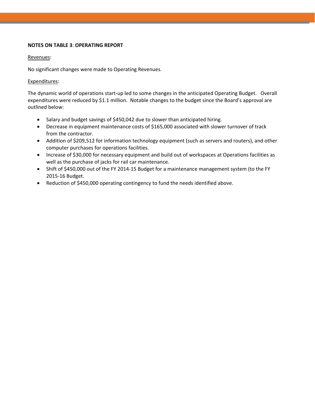#### **NOTES ON TABLE 3**: **OPERATING REPORT**

#### Revenues:

No significant changes were made to Operating Revenues.

#### Expenditures:

The dynamic world of operations start‐up led to some changes in the anticipated Operating Budget. Overall expenditures were reduced by \$1.1 million. Notable changes to the budget since the Board's approval are outlined below:

- Salary and budget savings of \$450,042 due to slower than anticipated hiring.
- Decrease in equipment maintenance costs of \$165,000 associated with slower turnover of track from the contractor.
- Addition of \$209,512 for information technology equipment (such as servers and routers), and other computer purchases for operations facilities.
- Increase of \$30,000 for necessary equipment and build out of workspaces at Operations facilities as well as the purchase of jacks for rail car maintenance.
- Shift of \$450,000 out of the FY 2014-15 Budget for a maintenance management system (to the FY 2015‐16 Budget.
- Reduction of \$450,000 operating contingency to fund the needs identified above.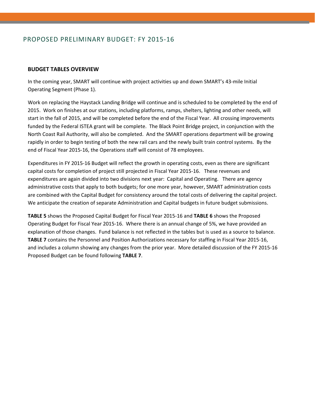## PROPOSED PRELIMINARY BUDGET: FY 2015‐16

#### **BUDGET TABLES OVERVIEW**

In the coming year, SMART will continue with project activities up and down SMART's 43‐mile Initial Operating Segment (Phase 1).

Work on replacing the Haystack Landing Bridge will continue and is scheduled to be completed by the end of 2015. Work on finishes at our stations, including platforms, ramps, shelters, lighting and other needs, will start in the fall of 2015, and will be completed before the end of the Fiscal Year. All crossing improvements funded by the Federal ISTEA grant will be complete. The Black Point Bridge project, in conjunction with the North Coast Rail Authority, will also be completed. And the SMART operations department will be growing rapidly in order to begin testing of both the new rail cars and the newly built train control systems. By the end of Fiscal Year 2015‐16, the Operations staff will consist of 78 employees.

Expenditures in FY 2015‐16 Budget will reflect the growth in operating costs, even as there are significant capital costs for completion of project still projected in Fiscal Year 2015‐16. These revenues and expenditures are again divided into two divisions next year: Capital and Operating. There are agency administrative costs that apply to both budgets; for one more year, however, SMART administration costs are combined with the Capital Budget for consistency around the total costs of delivering the capital project. We anticipate the creation of separate Administration and Capital budgets in future budget submissions.

**TABLE 5** shows the Proposed Capital Budget for Fiscal Year 2015‐16 and **TABLE 6** shows the Proposed Operating Budget for Fiscal Year 2015‐16. Where there is an annual change of 5%, we have provided an explanation of those changes. Fund balance is not reflected in the tables but is used as a source to balance. **TABLE 7** contains the Personnel and Position Authorizations necessary for staffing in Fiscal Year 2015‐16, and includes a column showing any changes from the prior year. More detailed discussion of the FY 2015-16 Proposed Budget can be found following **TABLE 7**.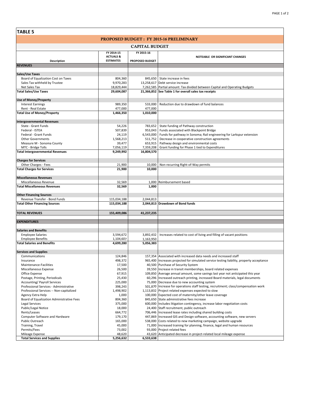| <b>TABLE 5</b>                                   |                                          |                      |                                                                                                                                                                   |  |  |  |  |
|--------------------------------------------------|------------------------------------------|----------------------|-------------------------------------------------------------------------------------------------------------------------------------------------------------------|--|--|--|--|
| <b>PROPOSED BUDGET : FY 2015-16 PRELIMINARY</b>  |                                          |                      |                                                                                                                                                                   |  |  |  |  |
| <b>CAPITAL BUDGET</b>                            |                                          |                      |                                                                                                                                                                   |  |  |  |  |
|                                                  | FY 2014-15                               | FY 2015-16           |                                                                                                                                                                   |  |  |  |  |
| Description                                      | <b>ACTUALS &amp;</b><br><b>ESTIMATES</b> | PROPOSED BUDGET      | NOTEABLE OR SIGNIFICANT CHANGES                                                                                                                                   |  |  |  |  |
| <b>REVENUES</b>                                  |                                          |                      |                                                                                                                                                                   |  |  |  |  |
| <b>Sales/Use Taxes</b>                           |                                          |                      |                                                                                                                                                                   |  |  |  |  |
| Board of Equalization Cost on Taxes              | 804,360                                  | 845,650              | State increase in fees                                                                                                                                            |  |  |  |  |
| Sales Tax withheld by Trustee                    | 9,970,283                                | 13,258,617           | Debt service increase                                                                                                                                             |  |  |  |  |
| Net Sales Tax                                    | 18,829,444                               |                      | 7,262,585 Partial amount: Tax divided between Capital and Operating Budgets                                                                                       |  |  |  |  |
| <b>Total Sales/Use Taxes</b>                     | 29,604,087                               |                      | 21,366,852 See Table 1 for overall sales tax receipts                                                                                                             |  |  |  |  |
| <b>Use of Money/Property</b>                     |                                          |                      |                                                                                                                                                                   |  |  |  |  |
| <b>Interest Earnings</b>                         | 989,350                                  | 533,000              | Reduction due to drawdown of fund balances                                                                                                                        |  |  |  |  |
| Rent - Real Estate                               | 477,000                                  | 477,000              |                                                                                                                                                                   |  |  |  |  |
| <b>Total Use of Money/Property</b>               | 1,466,350                                | 1,010,000            |                                                                                                                                                                   |  |  |  |  |
| <b>Intergovernmental Revenues</b>                |                                          |                      |                                                                                                                                                                   |  |  |  |  |
| State - Grant Funds                              | 54,226                                   | 783,652              | State funding of Pathway construction                                                                                                                             |  |  |  |  |
| Federal - ISTEA<br>Federal - Grant Funds         | 507,839                                  | 953,043              | Funds associated with Blackpoint Bridge                                                                                                                           |  |  |  |  |
| <b>Other Governments</b>                         | 24,119<br>1,568,213                      | 6,543,000<br>511,752 | Funds for pathway in Sonoma; Rail engineering for Larkspur extension<br>Decrease in cooperative construction agreements                                           |  |  |  |  |
| Measure M - Sonoma County                        | 39,477                                   | 653,915              | Pathway design and environmental costs                                                                                                                            |  |  |  |  |
| MTC - Bridge Tolls                               | 7,056,119                                | 7,359,208            | Grant funding for Phase 1 tied to Expenditures                                                                                                                    |  |  |  |  |
| <b>Total Intergovernmental Revenues</b>          | 9,249,992                                | 16,804,570           |                                                                                                                                                                   |  |  |  |  |
| <b>Charges for Services</b>                      |                                          |                      |                                                                                                                                                                   |  |  |  |  |
| Other Charges - Fees                             | 21,900                                   | 10.000               | Non-recurring Right-of-Way permits                                                                                                                                |  |  |  |  |
| <b>Total Charges for Services</b>                | 21,900                                   | 10,000               |                                                                                                                                                                   |  |  |  |  |
| <b>Miscellaneous Revenues</b>                    |                                          |                      |                                                                                                                                                                   |  |  |  |  |
| Miscellaneous Revenue                            | 32,569                                   | 1,000                | Reimbursement based                                                                                                                                               |  |  |  |  |
| <b>Total Miscellaneous Revenues</b>              | 32,569                                   | 1,000                |                                                                                                                                                                   |  |  |  |  |
| <b>Other Financing Sources</b>                   |                                          |                      |                                                                                                                                                                   |  |  |  |  |
| Revenue Transfer - Bond Funds                    | 115,034,188                              | 2,044,813            |                                                                                                                                                                   |  |  |  |  |
| <b>Total Other Financing Sources</b>             | 115,034,188                              |                      | 2,044,813 Drawdown of Bond funds                                                                                                                                  |  |  |  |  |
| TOTAL REVENUES                                   | 155,409,086                              | 41,237,235           |                                                                                                                                                                   |  |  |  |  |
|                                                  |                                          |                      |                                                                                                                                                                   |  |  |  |  |
| <b>EXPENDITURES</b>                              |                                          |                      |                                                                                                                                                                   |  |  |  |  |
| <b>Salaries and Benefits</b>                     |                                          |                      |                                                                                                                                                                   |  |  |  |  |
| <b>Employee Salaries</b>                         | 3,594,672                                | 3,892,432            | Increases related to cost of living and filling of vacant positions                                                                                               |  |  |  |  |
| <b>Employee Benefits</b>                         | 1,104,607                                | 1,163,950            |                                                                                                                                                                   |  |  |  |  |
| <b>Total Salaries and Benefits</b>               | 4,699,280                                | 5,056,383            |                                                                                                                                                                   |  |  |  |  |
| <b>Services and Supplies</b>                     |                                          |                      |                                                                                                                                                                   |  |  |  |  |
| Communications                                   | 124,846                                  |                      | 157,354 Associated with increased data needs and increased staff                                                                                                  |  |  |  |  |
| <b>Insurance</b>                                 | 498,372                                  |                      | 965,400 Increases projected for simulated service testing liability, property acceptance                                                                          |  |  |  |  |
| Maintenance-Facilities                           | 17,500                                   |                      | 40,500 Purchase of Security System                                                                                                                                |  |  |  |  |
| Miscellaneous Expense                            | 26,500                                   |                      | 39,550 Increase in transit memberships, board related expenses                                                                                                    |  |  |  |  |
| Office Expense<br>Postage, Printing, Periodicals | 67,915<br>25,430                         |                      | 109,850 Average annual amount, some savings last year not anticipated this year<br>60,296 Increased outreach printing, increased Board materials, legal documents |  |  |  |  |
| Accounting/ Payroll Services                     | 225,000                                  |                      | 75,000 Decrease due to new accounting system                                                                                                                      |  |  |  |  |
| Professional Services - Administrative           | 398,243                                  | 501,870              | Increase for operations staff testing, recruitment; class/compensation work                                                                                       |  |  |  |  |
| Professional Services -- Non-capitalized         | 1,498,902                                |                      | 1,113,832 Project related expenses expected to slow                                                                                                               |  |  |  |  |
| Agency Extra Help                                | 1,000                                    |                      | 100,000 Expected cost of maternity/other leave coverage                                                                                                           |  |  |  |  |
| Board of Equalization Administrative Fees        | 804,360                                  |                      | 845,650 State administrative fees increase                                                                                                                        |  |  |  |  |
| Legal Services                                   | 375,000                                  | 600,000              | Includes litigation contingency, increase labor negotiation costs                                                                                                 |  |  |  |  |
| Public/Legal Notice                              | 18,000                                   |                      | 24,400 Staff recruitment, public outreach                                                                                                                         |  |  |  |  |
| Rents/Leases                                     | 664,772                                  |                      | 706,446 Increased lease rates including shared building costs                                                                                                     |  |  |  |  |
| Computer Software and Hardware                   | 179,170                                  | 447,869              | Increased GIS and Design software, accounting software, new servers                                                                                               |  |  |  |  |
| Public Outreach                                  | 165,000                                  |                      | 538,000 Costs related to new marketing campaign, website upgrade                                                                                                  |  |  |  |  |
| Training, Travel<br>Permits/Fees                 | 45,000<br>73,002                         | 71,000<br>93,000     | Increased training for planning, finance, legal and human resources<br>Project related fees                                                                       |  |  |  |  |
| Mileage Expense                                  | 48,620                                   | 43,620               | Anticipated decrease in project-related local mileage expense                                                                                                     |  |  |  |  |
| <b>Total Services and Supplies</b>               | 5,256,632                                | 6,533,638            |                                                                                                                                                                   |  |  |  |  |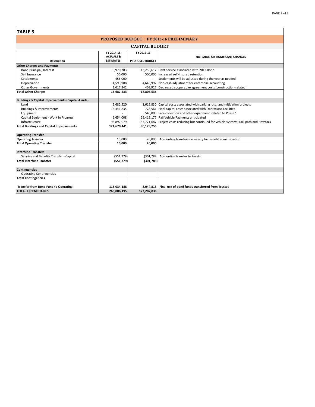$\overline{\phantom{a}}$ 

| <b>TABLE 5</b>                                               |                                                        |                                      |                                                                                              |  |  |  |  |
|--------------------------------------------------------------|--------------------------------------------------------|--------------------------------------|----------------------------------------------------------------------------------------------|--|--|--|--|
|                                                              |                                                        |                                      | <b>PROPOSED BUDGET: FY 2015-16 PRELIMINARY</b>                                               |  |  |  |  |
| <b>CAPITAL BUDGET</b>                                        |                                                        |                                      |                                                                                              |  |  |  |  |
| Description                                                  | FY 2014-15<br><b>ACTUALS &amp;</b><br><b>ESTIMATES</b> | FY 2015-16<br><b>PROPOSED BUDGET</b> | NOTEABLE OR SIGNIFICANT CHANGES                                                              |  |  |  |  |
| <b>Other Charges and Payments</b>                            |                                                        |                                      |                                                                                              |  |  |  |  |
| Bond Principal, Interest                                     | 9,970,283                                              |                                      | 13,258,617 Debt service associated with 2013 Bond                                            |  |  |  |  |
| Self Insurance                                               | 50,000                                                 |                                      | 500.000 Increased self-insured retention                                                     |  |  |  |  |
| Settlements                                                  | 456,000                                                | $\overline{\phantom{a}}$             | Settlements will be adjusted during the year as needed                                       |  |  |  |  |
| Depreciation                                                 | 4,593,908                                              |                                      | 4,643,992 Non-cash adjustment for enterprise accounting                                      |  |  |  |  |
| <b>Other Governments</b>                                     | 1,617,242                                              |                                      | 403,927 Decreased cooperative agreement costs (construction-related)                         |  |  |  |  |
| <b>Total Other Charges</b>                                   | 16,687,433                                             | 18,806,535                           |                                                                                              |  |  |  |  |
|                                                              |                                                        |                                      |                                                                                              |  |  |  |  |
| <b>Buildings &amp; Capital Improvements (Capital Assets)</b> |                                                        |                                      |                                                                                              |  |  |  |  |
| Land                                                         | 2,682,520                                              |                                      | 1,616,830 Capital costs associated with parking lots, land mitigation projects               |  |  |  |  |
| <b>Buildings &amp; Improvements</b>                          | 16,441,835                                             |                                      | 778,561 Final capital costs associated with Operations Facilities                            |  |  |  |  |
| Equipment                                                    |                                                        |                                      | 540,000 Fare collection and other equipment related to Phase 1                               |  |  |  |  |
| Capital Equipment - Work in Progress                         | 6,654,008                                              |                                      | 29,416,177 Rail Vehicle Payments anticipated                                                 |  |  |  |  |
| Infrastructure                                               | 98,892,079                                             |                                      | 57,771,687 Project costs reducing but continued for vehicle systems, rail, path and Haystack |  |  |  |  |
| <b>Total Buildings and Capital Improvements</b>              | 124,670,441                                            | 90,123,255                           |                                                                                              |  |  |  |  |
| <b>Operating Transfer</b>                                    |                                                        |                                      |                                                                                              |  |  |  |  |
| <b>Operating Transfer</b>                                    | 10,000                                                 | 20,000                               | Accounting transfers necessary for benefit administration                                    |  |  |  |  |
| <b>Total Operating Transfer</b>                              | 10,000                                                 | 20,000                               |                                                                                              |  |  |  |  |
| <b>Interfund Transfers</b>                                   |                                                        |                                      |                                                                                              |  |  |  |  |
| Salaries and Benefits Transfer - Capital                     | (551, 779)                                             |                                      | (301,788) Accounting transfer to Assets                                                      |  |  |  |  |
| <b>Total Interfund Transfer</b>                              | (551, 779)                                             | (301, 788)                           |                                                                                              |  |  |  |  |
| <b>Contingencies</b>                                         |                                                        |                                      |                                                                                              |  |  |  |  |
| <b>Operating Contingencies</b>                               |                                                        |                                      |                                                                                              |  |  |  |  |
| <b>Total Contingencies</b>                                   |                                                        |                                      |                                                                                              |  |  |  |  |
| <b>Transfer from Bond Fund to Operating</b>                  | 115,034,188                                            | 2.044.813                            | Final use of bond funds transferred from Trustee                                             |  |  |  |  |
| <b>TOTAL EXPENDITURES</b>                                    | 265,806,195                                            | 122,282,836                          |                                                                                              |  |  |  |  |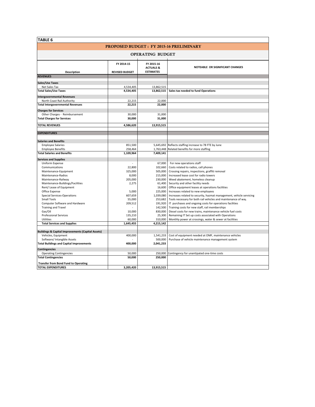| TABLE 6                                                      |                                     |                                                        |                                                                     |
|--------------------------------------------------------------|-------------------------------------|--------------------------------------------------------|---------------------------------------------------------------------|
|                                                              |                                     |                                                        | <b>PROPOSED BUDGET: FY 2015-16 PRELIMINARY</b>                      |
|                                                              |                                     | <b>OPERATING BUDGET</b>                                |                                                                     |
| <b>Description</b>                                           | FY 2014-15<br><b>REVISED BUDGET</b> | FY 2015-16<br><b>ACTUALS &amp;</b><br><b>ESTIMATES</b> | NOTEABLE OR SIGNIFICANT CHANGES                                     |
| <b>REVENUES</b>                                              |                                     |                                                        |                                                                     |
|                                                              |                                     |                                                        |                                                                     |
| <b>Sales/Use Taxes</b><br>Net Sales Tax                      | 4,534,405                           | 13,862,515                                             |                                                                     |
| <b>Total Sales/Use Taxes</b>                                 | 4,534,405                           | 13,862,515                                             | Sales tax needed to fund Operations                                 |
|                                                              |                                     |                                                        |                                                                     |
| <b>Intergovernmental Revenues</b>                            |                                     |                                                        |                                                                     |
| North Coast Rail Authority                                   | 22,215                              | 22,000                                                 |                                                                     |
| <b>Total Intergovernmental Revenues</b>                      | 22.215                              | 22,000                                                 |                                                                     |
| <b>Charges for Services</b>                                  |                                     |                                                        |                                                                     |
| Other Charges - Reimbursement                                | 30,000                              | 31,000                                                 |                                                                     |
| <b>Total Charges for Services</b>                            | 30,000                              | 31,000                                                 |                                                                     |
| <b>TOTAL REVENUES</b>                                        | 4,586,620                           | 13,915,515                                             |                                                                     |
|                                                              |                                     |                                                        |                                                                     |
| <b>EXPENDITURES</b>                                          |                                     |                                                        |                                                                     |
|                                                              |                                     |                                                        |                                                                     |
| <b>Salaries and Benefits</b><br><b>Employee Salaries</b>     | 851,500                             |                                                        | 5,645,692 Reflects staffing increase to 78 FTE by June              |
| <b>Employee Benefits</b>                                     | 258,464                             | 1,763,448                                              | Related benefits for more staffing                                  |
| <b>Total Salaries and Benefits</b>                           | 1,109,964                           | 7,409,141                                              |                                                                     |
| <b>Services and Supplies</b>                                 |                                     |                                                        |                                                                     |
| Uniform Expense                                              | $\overline{\phantom{a}}$            | 67,000                                                 | For new operations staff                                            |
| Communications                                               | 22,800                              | 102,660                                                | Costs related to radios, cell phones                                |
| Maintenance-Equipment                                        | 325,000                             | 505,000                                                | Crossing repairs, inspections, graffiti removal                     |
| Maintenance-Radios                                           | 8,000                               | 215,000                                                | Increased lease cost for radio towers                               |
| Maintenance-Railway                                          | 205,000                             | 230,000                                                | Weed abatement, homeless cleanup                                    |
| Maintenance-Buildings/Facilities                             | 2,275                               | 61,400                                                 | Security and other facility needs                                   |
| Rent/ Lease of Equipment                                     |                                     | 16.600                                                 | Office equipment leases at operations facilities                    |
| Office Expense                                               | 5,000                               | 225,000                                                | Increases related to new employees                                  |
| <b>Special Services-Operations</b>                           | 607,659                             | 1,039,080                                              | Increases related to security, hazmat management, vehicle servicing |
| <b>Small Tools</b>                                           | 55,000                              | 253,682                                                | Tools necessary for both rail vehicles and maintenance of way       |
| Computer Software and Hardware                               | 209,512                             | 191,920                                                | IT purchases and ongoing costs for operations facilities            |
| <b>Training and Travel</b>                                   |                                     | 142,500                                                | Training costs for new staff, rail memberships                      |
| Gas/Oil                                                      | 10,000                              | 830,000                                                | Diesel costs for new trains, maintenance vehicle fuel costs         |
| <b>Professional Services</b>                                 | 135,210                             | 25,300                                                 | Remaining IT Set up costs associated with Operations                |
| Utilities                                                    | 60,000                              | 310,000                                                | Monthly power at crossings, water & sewer at facilities             |
| <b>Total Services and Supplies</b>                           | 1,645,455                           | 4,215,142                                              |                                                                     |
| <b>Buildings &amp; Capital Improvements (Capital Assets)</b> |                                     |                                                        |                                                                     |
| Vehicles, Equipment                                          | 400,000                             | 1,541,233                                              | Cost of equipment needed at OMF, maintenance vehicles               |
| Software/ Intangible Assets                                  |                                     | 500,000                                                | Purchase of vehicle maintenance management system                   |
| <b>Total Buildings and Capital Improvements</b>              | 400,000                             | 2,041,233                                              |                                                                     |
| <b>Contingencies</b>                                         |                                     |                                                        |                                                                     |
| <b>Operating Contingencies</b>                               | 50,000                              |                                                        | 250,000 Contingency for unantipated one-time costs                  |
| <b>Total Contingencies</b>                                   | 50,000                              | 250,000                                                |                                                                     |
| <b>Transfer from Bond Fund to Operating</b>                  |                                     |                                                        |                                                                     |
| <b>TOTAL EXPENDITURES</b>                                    | 3,205,420                           | 13,915,515                                             |                                                                     |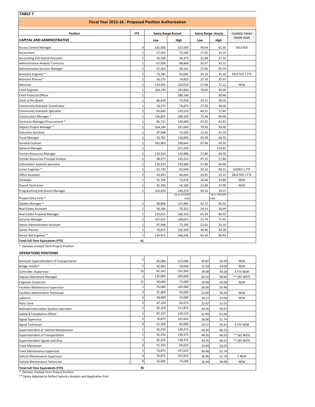| <b>Fiscal Year 2015-16: Proposed Position Authorization</b><br><b>FTE</b><br>Position<br><b>CAPITAL AND ADMINISTRATIVE</b><br>Low<br>0<br><b>Access Control Manager</b><br>$\mathbf 1$<br>Accountant<br>$\mathbf 1$<br><b>Accounting and Payroll Assistant</b><br>$\mathbf{1}$<br>Administrative Analyst/ Contracts<br>Administrative Services Manager<br>$\mathbf{1}$<br>$\overline{2}$<br>Assistant Engineer *<br>Assistant Planner*<br>$\mathbf{1}$<br>$\mathbf{1}$<br>Attorney<br>$\mathbf 1$<br><b>Chief Engineer</b><br>Chief Financial Officer<br>$\mathbf 1$<br>$\mathbf{1}$<br>Clerk of the Board<br>Community Outreach Coordinator<br>$\mathbf{1}$<br>$\overline{2}$<br>Community Outreach Specialist<br>Construction Manager *<br>$\mathbf{1}$<br>$\mathbf 1$<br>Contracts Manager/Procurement *<br>$\mathbf 1$<br>Deputy Project Manager *<br>$\mathbf{1}$<br>Executive Assistant<br>$\mathbf{1}$<br>Fiscal Manager<br>General Counsel<br>$\mathbf{1}$<br>$\mathbf 1$<br>General Manager<br>$\mathbf{1}$<br>Human Resources Manager<br>$\mathbf{1}$<br>Human Resources Principal Analyst<br>$\mathbf{1}$<br><b>Information Systems Specialist</b><br>5<br>Junior Engineer *<br>$\overline{2}$<br>Office Assistant<br>$\mathbf{1}$<br>Paralegal<br>Payroll Technician<br>$\mathbf{1}$<br>$\mathbf{1}$<br>Programming and Grants Manager | 102,000<br>57,503<br>45,100<br>67,958<br>57,503<br>73,185<br>56,375<br>119,995<br>164,144<br>60,639<br>56,375<br>83,640<br>156,825<br>85,731<br>164,144 | <b>Salary Range Annual</b><br>High<br>127,500<br>73,185<br>56,375<br>88,868<br>95,141<br>94,095<br>74,825<br>150,010<br>197,600<br>188,190<br>79,458<br>76,875<br>120,233<br>188,190<br>130,688 | <b>Salary Range: Hourly</b><br>Low<br>49.04<br>27.65<br>21.68<br>32.67<br>27.65<br>35.19<br>27.10<br>57.69<br>78.92<br>$\sim$<br>29.15<br>27.10<br>40.21<br>75.40<br>41.22 | High<br>61.30<br>35.19<br>27.10<br>42.72<br>45.74<br>45.24<br>35.97<br>72.12<br>95.00<br>90.48<br>38.20<br>36.96<br>57.80<br>90.48 | <b>CHANGE FROM</b><br><b>PRIOR YEAR</b><br>DELETED<br><b>DELETED 1 FTE</b><br><b>NEW</b> |
|----------------------------------------------------------------------------------------------------------------------------------------------------------------------------------------------------------------------------------------------------------------------------------------------------------------------------------------------------------------------------------------------------------------------------------------------------------------------------------------------------------------------------------------------------------------------------------------------------------------------------------------------------------------------------------------------------------------------------------------------------------------------------------------------------------------------------------------------------------------------------------------------------------------------------------------------------------------------------------------------------------------------------------------------------------------------------------------------------------------------------------------------------------------------------------------------------------------------------------------------------------------------------------------------------------------------------------------------------|---------------------------------------------------------------------------------------------------------------------------------------------------------|-------------------------------------------------------------------------------------------------------------------------------------------------------------------------------------------------|----------------------------------------------------------------------------------------------------------------------------------------------------------------------------|------------------------------------------------------------------------------------------------------------------------------------|------------------------------------------------------------------------------------------|
|                                                                                                                                                                                                                                                                                                                                                                                                                                                                                                                                                                                                                                                                                                                                                                                                                                                                                                                                                                                                                                                                                                                                                                                                                                                                                                                                                    |                                                                                                                                                         |                                                                                                                                                                                                 |                                                                                                                                                                            |                                                                                                                                    |                                                                                          |
|                                                                                                                                                                                                                                                                                                                                                                                                                                                                                                                                                                                                                                                                                                                                                                                                                                                                                                                                                                                                                                                                                                                                                                                                                                                                                                                                                    |                                                                                                                                                         |                                                                                                                                                                                                 |                                                                                                                                                                            |                                                                                                                                    |                                                                                          |
|                                                                                                                                                                                                                                                                                                                                                                                                                                                                                                                                                                                                                                                                                                                                                                                                                                                                                                                                                                                                                                                                                                                                                                                                                                                                                                                                                    |                                                                                                                                                         |                                                                                                                                                                                                 |                                                                                                                                                                            |                                                                                                                                    |                                                                                          |
|                                                                                                                                                                                                                                                                                                                                                                                                                                                                                                                                                                                                                                                                                                                                                                                                                                                                                                                                                                                                                                                                                                                                                                                                                                                                                                                                                    |                                                                                                                                                         |                                                                                                                                                                                                 |                                                                                                                                                                            |                                                                                                                                    |                                                                                          |
|                                                                                                                                                                                                                                                                                                                                                                                                                                                                                                                                                                                                                                                                                                                                                                                                                                                                                                                                                                                                                                                                                                                                                                                                                                                                                                                                                    |                                                                                                                                                         |                                                                                                                                                                                                 |                                                                                                                                                                            |                                                                                                                                    |                                                                                          |
|                                                                                                                                                                                                                                                                                                                                                                                                                                                                                                                                                                                                                                                                                                                                                                                                                                                                                                                                                                                                                                                                                                                                                                                                                                                                                                                                                    |                                                                                                                                                         |                                                                                                                                                                                                 |                                                                                                                                                                            |                                                                                                                                    |                                                                                          |
|                                                                                                                                                                                                                                                                                                                                                                                                                                                                                                                                                                                                                                                                                                                                                                                                                                                                                                                                                                                                                                                                                                                                                                                                                                                                                                                                                    |                                                                                                                                                         |                                                                                                                                                                                                 |                                                                                                                                                                            |                                                                                                                                    |                                                                                          |
|                                                                                                                                                                                                                                                                                                                                                                                                                                                                                                                                                                                                                                                                                                                                                                                                                                                                                                                                                                                                                                                                                                                                                                                                                                                                                                                                                    |                                                                                                                                                         |                                                                                                                                                                                                 |                                                                                                                                                                            |                                                                                                                                    |                                                                                          |
|                                                                                                                                                                                                                                                                                                                                                                                                                                                                                                                                                                                                                                                                                                                                                                                                                                                                                                                                                                                                                                                                                                                                                                                                                                                                                                                                                    |                                                                                                                                                         |                                                                                                                                                                                                 |                                                                                                                                                                            |                                                                                                                                    |                                                                                          |
|                                                                                                                                                                                                                                                                                                                                                                                                                                                                                                                                                                                                                                                                                                                                                                                                                                                                                                                                                                                                                                                                                                                                                                                                                                                                                                                                                    |                                                                                                                                                         |                                                                                                                                                                                                 |                                                                                                                                                                            |                                                                                                                                    |                                                                                          |
|                                                                                                                                                                                                                                                                                                                                                                                                                                                                                                                                                                                                                                                                                                                                                                                                                                                                                                                                                                                                                                                                                                                                                                                                                                                                                                                                                    |                                                                                                                                                         |                                                                                                                                                                                                 |                                                                                                                                                                            |                                                                                                                                    |                                                                                          |
|                                                                                                                                                                                                                                                                                                                                                                                                                                                                                                                                                                                                                                                                                                                                                                                                                                                                                                                                                                                                                                                                                                                                                                                                                                                                                                                                                    |                                                                                                                                                         |                                                                                                                                                                                                 |                                                                                                                                                                            |                                                                                                                                    |                                                                                          |
|                                                                                                                                                                                                                                                                                                                                                                                                                                                                                                                                                                                                                                                                                                                                                                                                                                                                                                                                                                                                                                                                                                                                                                                                                                                                                                                                                    |                                                                                                                                                         |                                                                                                                                                                                                 |                                                                                                                                                                            |                                                                                                                                    |                                                                                          |
|                                                                                                                                                                                                                                                                                                                                                                                                                                                                                                                                                                                                                                                                                                                                                                                                                                                                                                                                                                                                                                                                                                                                                                                                                                                                                                                                                    |                                                                                                                                                         |                                                                                                                                                                                                 |                                                                                                                                                                            |                                                                                                                                    |                                                                                          |
|                                                                                                                                                                                                                                                                                                                                                                                                                                                                                                                                                                                                                                                                                                                                                                                                                                                                                                                                                                                                                                                                                                                                                                                                                                                                                                                                                    |                                                                                                                                                         |                                                                                                                                                                                                 |                                                                                                                                                                            |                                                                                                                                    |                                                                                          |
|                                                                                                                                                                                                                                                                                                                                                                                                                                                                                                                                                                                                                                                                                                                                                                                                                                                                                                                                                                                                                                                                                                                                                                                                                                                                                                                                                    |                                                                                                                                                         |                                                                                                                                                                                                 |                                                                                                                                                                            |                                                                                                                                    |                                                                                          |
|                                                                                                                                                                                                                                                                                                                                                                                                                                                                                                                                                                                                                                                                                                                                                                                                                                                                                                                                                                                                                                                                                                                                                                                                                                                                                                                                                    |                                                                                                                                                         |                                                                                                                                                                                                 |                                                                                                                                                                            |                                                                                                                                    |                                                                                          |
|                                                                                                                                                                                                                                                                                                                                                                                                                                                                                                                                                                                                                                                                                                                                                                                                                                                                                                                                                                                                                                                                                                                                                                                                                                                                                                                                                    |                                                                                                                                                         |                                                                                                                                                                                                 |                                                                                                                                                                            | 62.83                                                                                                                              |                                                                                          |
|                                                                                                                                                                                                                                                                                                                                                                                                                                                                                                                                                                                                                                                                                                                                                                                                                                                                                                                                                                                                                                                                                                                                                                                                                                                                                                                                                    |                                                                                                                                                         | 197,600                                                                                                                                                                                         | 78.92                                                                                                                                                                      | 95.00                                                                                                                              |                                                                                          |
|                                                                                                                                                                                                                                                                                                                                                                                                                                                                                                                                                                                                                                                                                                                                                                                                                                                                                                                                                                                                                                                                                                                                                                                                                                                                                                                                                    | 47,048                                                                                                                                                  | 73,185                                                                                                                                                                                          | 22.62                                                                                                                                                                      | 35.19                                                                                                                              |                                                                                          |
|                                                                                                                                                                                                                                                                                                                                                                                                                                                                                                                                                                                                                                                                                                                                                                                                                                                                                                                                                                                                                                                                                                                                                                                                                                                                                                                                                    | 93,781                                                                                                                                                  | 138,006                                                                                                                                                                                         | 45.09                                                                                                                                                                      | 66.35                                                                                                                              |                                                                                          |
|                                                                                                                                                                                                                                                                                                                                                                                                                                                                                                                                                                                                                                                                                                                                                                                                                                                                                                                                                                                                                                                                                                                                                                                                                                                                                                                                                    | 182,963                                                                                                                                                 | 198,645                                                                                                                                                                                         | 87.96                                                                                                                                                                      | 95.50                                                                                                                              |                                                                                          |
|                                                                                                                                                                                                                                                                                                                                                                                                                                                                                                                                                                                                                                                                                                                                                                                                                                                                                                                                                                                                                                                                                                                                                                                                                                                                                                                                                    | L.                                                                                                                                                      | 257,193                                                                                                                                                                                         | $\overline{a}$                                                                                                                                                             | 123.65                                                                                                                             |                                                                                          |
|                                                                                                                                                                                                                                                                                                                                                                                                                                                                                                                                                                                                                                                                                                                                                                                                                                                                                                                                                                                                                                                                                                                                                                                                                                                                                                                                                    | 120,233                                                                                                                                                 | 134,986                                                                                                                                                                                         | 57.80                                                                                                                                                                      | 64.90                                                                                                                              |                                                                                          |
|                                                                                                                                                                                                                                                                                                                                                                                                                                                                                                                                                                                                                                                                                                                                                                                                                                                                                                                                                                                                                                                                                                                                                                                                                                                                                                                                                    | 98,277                                                                                                                                                  | 120,233                                                                                                                                                                                         | 47.25                                                                                                                                                                      | 57.80                                                                                                                              |                                                                                          |
|                                                                                                                                                                                                                                                                                                                                                                                                                                                                                                                                                                                                                                                                                                                                                                                                                                                                                                                                                                                                                                                                                                                                                                                                                                                                                                                                                    | 120,233                                                                                                                                                 | 134,986                                                                                                                                                                                         | 57.80                                                                                                                                                                      | 64.90                                                                                                                              |                                                                                          |
|                                                                                                                                                                                                                                                                                                                                                                                                                                                                                                                                                                                                                                                                                                                                                                                                                                                                                                                                                                                                                                                                                                                                                                                                                                                                                                                                                    | 62,730                                                                                                                                                  | 83,640                                                                                                                                                                                          | 30.16                                                                                                                                                                      | 40.21                                                                                                                              | ADDED 1 FTE                                                                              |
|                                                                                                                                                                                                                                                                                                                                                                                                                                                                                                                                                                                                                                                                                                                                                                                                                                                                                                                                                                                                                                                                                                                                                                                                                                                                                                                                                    | 43,493                                                                                                                                                  | 46,002                                                                                                                                                                                          | 20.91                                                                                                                                                                      | 22.12                                                                                                                              | <b>DELETED 1 FTE</b>                                                                     |
|                                                                                                                                                                                                                                                                                                                                                                                                                                                                                                                                                                                                                                                                                                                                                                                                                                                                                                                                                                                                                                                                                                                                                                                                                                                                                                                                                    | 55,744                                                                                                                                                  | 70,470                                                                                                                                                                                          | 26.80                                                                                                                                                                      | 33.88                                                                                                                              | <b>NEW</b>                                                                               |
|                                                                                                                                                                                                                                                                                                                                                                                                                                                                                                                                                                                                                                                                                                                                                                                                                                                                                                                                                                                                                                                                                                                                                                                                                                                                                                                                                    | 45,760                                                                                                                                                  | 56,160                                                                                                                                                                                          | 22.00                                                                                                                                                                      | 27.00                                                                                                                              | <b>NEW</b>                                                                               |
|                                                                                                                                                                                                                                                                                                                                                                                                                                                                                                                                                                                                                                                                                                                                                                                                                                                                                                                                                                                                                                                                                                                                                                                                                                                                                                                                                    | 102,459                                                                                                                                                 | 146,370                                                                                                                                                                                         | 49.26                                                                                                                                                                      | 70.37                                                                                                                              |                                                                                          |
|                                                                                                                                                                                                                                                                                                                                                                                                                                                                                                                                                                                                                                                                                                                                                                                                                                                                                                                                                                                                                                                                                                                                                                                                                                                                                                                                                    |                                                                                                                                                         | Up to \$50,000                                                                                                                                                                                  |                                                                                                                                                                            | Up to \$50,000                                                                                                                     |                                                                                          |
| Project Extra hires *                                                                                                                                                                                                                                                                                                                                                                                                                                                                                                                                                                                                                                                                                                                                                                                                                                                                                                                                                                                                                                                                                                                                                                                                                                                                                                                              |                                                                                                                                                         | tota                                                                                                                                                                                            |                                                                                                                                                                            | total                                                                                                                              |                                                                                          |
| $\mathbf 1$<br>Quality Manager *                                                                                                                                                                                                                                                                                                                                                                                                                                                                                                                                                                                                                                                                                                                                                                                                                                                                                                                                                                                                                                                                                                                                                                                                                                                                                                                   | 88,868                                                                                                                                                  | 125,460                                                                                                                                                                                         | 42.72                                                                                                                                                                      | 60.32                                                                                                                              |                                                                                          |
| $\mathbf{1}$<br>Real Estate Assistant                                                                                                                                                                                                                                                                                                                                                                                                                                                                                                                                                                                                                                                                                                                                                                                                                                                                                                                                                                                                                                                                                                                                                                                                                                                                                                              | 50,184                                                                                                                                                  | 76,322                                                                                                                                                                                          | 24.13                                                                                                                                                                      | 36.69                                                                                                                              |                                                                                          |
| $\mathbf{1}$<br>Real Estate Property Manager                                                                                                                                                                                                                                                                                                                                                                                                                                                                                                                                                                                                                                                                                                                                                                                                                                                                                                                                                                                                                                                                                                                                                                                                                                                                                                       | 135,915                                                                                                                                                 | 168,326                                                                                                                                                                                         | 65.34                                                                                                                                                                      | 80.93                                                                                                                              |                                                                                          |
| $\mathbf 1$<br><b>Security Manager</b>                                                                                                                                                                                                                                                                                                                                                                                                                                                                                                                                                                                                                                                                                                                                                                                                                                                                                                                                                                                                                                                                                                                                                                                                                                                                                                             | 107,625                                                                                                                                                 | 148,625                                                                                                                                                                                         | 51.74                                                                                                                                                                      | 71.45                                                                                                                              |                                                                                          |
| $\mathbf 1$<br>Senior Administrative Assistant                                                                                                                                                                                                                                                                                                                                                                                                                                                                                                                                                                                                                                                                                                                                                                                                                                                                                                                                                                                                                                                                                                                                                                                                                                                                                                     | 47,048                                                                                                                                                  | 73,185                                                                                                                                                                                          | 22.62                                                                                                                                                                      | 35.19                                                                                                                              |                                                                                          |
| Senior Planner<br>$1\,$                                                                                                                                                                                                                                                                                                                                                                                                                                                                                                                                                                                                                                                                                                                                                                                                                                                                                                                                                                                                                                                                                                                                                                                                                                                                                                                            |                                                                                                                                                         | 102,500                                                                                                                                                                                         | 36.96                                                                                                                                                                      | 49.28                                                                                                                              |                                                                                          |
| $\mathbf 1$<br>Senior Rail Engineer *<br>135,915<br>41<br><b>Total Full Time Equivalents (FTE)</b>                                                                                                                                                                                                                                                                                                                                                                                                                                                                                                                                                                                                                                                                                                                                                                                                                                                                                                                                                                                                                                                                                                                                                                                                                                                 | 76,875                                                                                                                                                  | 168,326                                                                                                                                                                                         | 65.34                                                                                                                                                                      | 80.93                                                                                                                              |                                                                                          |

#### **OPERATIONS POSITIONS**

|                                            | 1              |         |         |       |       |                  |
|--------------------------------------------|----------------|---------|---------|-------|-------|------------------|
| Assistant Superintendent of Transportation |                | 85.000  | 115,000 | 40.87 | 55.29 | <b>NFW</b>       |
| Bridge Tender*                             | $\overline{2}$ | 45,000  | 50,000  | 21.63 | 24.04 | <b>NEW</b>       |
| Controller /Supervisor                     | 10             | 82,543  | 102,500 | 39.68 | 49.28 | 4 FTE NEW        |
| <b>Deputy Operations Manager</b>           | $\mathbf{1}$   | 125,000 | 185,000 | 60.10 | 88.94 | ** SEE NOTE      |
| Engineer-Conductor                         | 21             | 50,000  | 75,000  | 24.04 | 36.06 | <b>NEW</b>       |
| <b>Facilities Maintenance Supervisor</b>   |                | 75,000  | 105,000 | 36.06 | 50.48 |                  |
| Facilities Maintenance Technician          |                | 47,000  | 63,000  | 22.60 | 30.29 | <b>NEW</b>       |
| Laborers                                   | 5              | 38,000  | 50,000  | 18.27 | 24.04 | <b>NEW</b>       |
| <b>Parts Clerk</b>                         | $\overline{2}$ | 47,150  | 64,575  | 22.67 | 31.05 |                  |
| Railroad Information Systems Specialist    | 1              | 92,250  | 117,875 | 44.35 | 56.67 |                  |
| Safety & Compliance Officer                |                | 87,125  | 128,125 | 41.89 | 61.60 |                  |
| Signal Supervisor                          | $\overline{2}$ | 76,875  | 107,625 | 36.96 | 51.74 |                  |
| Signal Technician                          | 8              | 61,500  | 82,000  | 29.57 | 39.42 | <b>4 FTE NEW</b> |
| Superintendent of Vehicle Maintenance      | 1              | 92,250  | 138,375 | 44.35 | 66.53 |                  |
| Superintendent of Transportation           |                | 92,250  | 138,375 | 44.35 | 66.53 | ** SEE NOTE      |
| Superintendent Signals and Way             |                | 92,250  | 138,375 | 44.35 | 66.53 | ** SFF NOTF      |
| <b>Track Maintainer</b>                    | Δ              | 51,250  | 66,625  | 24.64 | 32.03 |                  |
| <b>Track Maintenance Supervisor</b>        | $\overline{2}$ | 76,875  | 107,625 | 36.96 | 51.74 |                  |
| Vehicle Maintenance Supervisor             |                | 76,875  | 107,625 | 36.96 | 51.74 | 1 NEW            |
| Vehicle Maintenance Technician             | 8              | 55,000  | 75,000  | 26.44 | 36.06 | <b>NEW</b>       |
| <b>Total Full Time Equivalents (FTE)</b>   | 78             |         |         |       |       |                  |

\* Denotes Limited‐Term Project Position

\*\* Salary Adjusted to Reflect Industry Analysis and Application Pool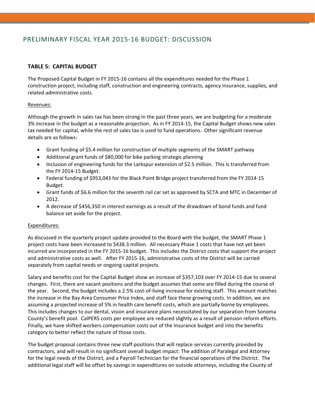## PRELIMINARY FISCAL YEAR 2015‐16 BUDGET: DISCUSSION

## **TABLE 5: CAPITAL BUDGET**

The Proposed Capital Budget in FY 2015-16 contains all the expenditures needed for the Phase 1 construction project, including staff, construction and engineering contracts, agency insurance, supplies, and related administrative costs.

#### Revenues:

Although the growth in sales tax has been strong in the past three years, we are budgeting for a moderate 3% increase in the budget as a reasonable projection. As in FY 2014‐15, the Capital Budget shows new sales tax needed for capital, while the rest of sales tax is used to fund operations. Other significant revenue details are as follows:

- Grant funding of \$5.4 million for construction of multiple segments of the SMART pathway
- Additional grant funds of \$80,000 for bike parking strategic planning
- Inclusion of engineering funds for the Larkspur extension of \$2.5 million. This is transferred from the FY 2014‐15 Budget.
- Federal funding of \$953,043 for the Black Point Bridge project transferred from the FY 2014‐15 Budget.
- Grant funds of \$6.6 million for the seventh rail car set as approved by SCTA and MTC in December of 2012.
- A decrease of \$456,350 in interest earnings as a result of the drawdown of bond funds and fund balance set aside for the project.

#### Expenditures:

As discussed in the quarterly project update provided to the Board with the budget, the SMART Phase 1 project costs have been increased to \$438.3 million. All necessary Phase 1 costs that have not yet been incurred are incorporated in the FY 2015‐16 budget. This includes the District costs that support the project and administrative costs as well. After FY 2015-16, administrative costs of the District will be carried separately from capital needs or ongoing capital projects.

Salary and benefits cost for the Capital Budget show an increase of \$357,103 over FY 2014‐15 due to several changes. First, there are vacant positions and the budget assumes that some are filled during the course of the year. Second, the budget includes a 2.5% cost-of-living increase for existing staff. This amount matches the increase in the Bay Area Consumer Price Index, and staff face these growing costs. In addition, we are assuming a projected increase of 5% in health care benefit costs, which are partially borne by employees. This includes changes to our dental, vision and insurance plans necessitated by our separation from Sonoma County's benefit pool. CalPERS costs per employee are reduced slightly as a result of pension reform efforts. Finally, we have shifted workers compensation costs out of the Insurance budget and into the benefits category to better reflect the nature of those costs.

The budget proposal contains three new staff positions that will replace services currently provided by contractors, and will result in no significant overall budget impact: The addition of Paralegal and Attorney for the legal needs of the District, and a Payroll Technician for the financial operations of the District. The additional legal staff will be offset by savings in expenditures on outside attorneys, including the County of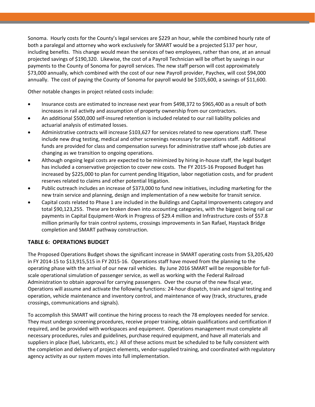Sonoma. Hourly costs for the County's legal services are \$229 an hour, while the combined hourly rate of both a paralegal and attorney who work exclusively for SMART would be a projected \$137 per hour, including benefits. This change would mean the services of two employees, rather than one, at an annual projected savings of \$190,320. Likewise, the cost of a Payroll Technician will be offset by savings in our payments to the County of Sonoma for payroll services. The new staff person will cost approximately \$73,000 annually, which combined with the cost of our new Payroll provider, Paychex, will cost \$94,000 annually. The cost of paying the County of Sonoma for payroll would be \$105,600, a savings of \$11,600.

Other notable changes in project related costs include:

- Insurance costs are estimated to increase next year from \$498,372 to \$965,400 as a result of both increases in rail activity and assumption of property ownership from our contractors.
- An additional \$500,000 self‐insured retention is included related to our rail liability policies and actuarial analysis of estimated losses.
- Administrative contracts will increase \$103,627 for services related to new operations staff. These include new drug testing, medical and other screenings necessary for operations staff. Additional funds are provided for class and compensation surveys for administrative staff whose job duties are changing as we transition to ongoing operations.
- Although ongoing legal costs are expected to be minimized by hiring in‐house staff, the legal budget has included a conservative projection to cover new costs. The FY 2015-16 Proposed Budget has increased by \$225,000 to plan for current pending litigation, labor negotiation costs, and for prudent reserves related to claims and other potential litigation.
- Public outreach includes an increase of \$373,000 to fund new initiatives, including marketing for the new train service and planning, design and implementation of a new website for transit service.
- Capital costs related to Phase 1 are included in the Buildings and Capital Improvements category and total \$90,123,255. These are broken down into accounting categories, with the biggest being rail car payments in Capital Equipment‐Work in Progress of \$29.4 million and Infrastructure costs of \$57.8 million primarily for train control systems, crossings improvements in San Rafael, Haystack Bridge completion and SMART pathway construction.

## **TABLE 6: OPERATIONS BUDGET**

The Proposed Operations Budget shows the significant increase in SMART operating costs from \$3,205,420 in FY 2014‐15 to \$13,915,515 in FY 2015‐16. Operations staff have moved from the planning to the operating phase with the arrival of our new rail vehicles. By June 2016 SMART will be responsible for full‐ scale operational simulation of passenger service, as well as working with the Federal Railroad Administration to obtain approval for carrying passengers. Over the course of the new fiscal year, Operations will assume and activate the following functions: 24‐hour dispatch, train and signal testing and operation, vehicle maintenance and inventory control, and maintenance of way (track, structures, grade crossings, communications and signals).

To accomplish this SMART will continue the hiring process to reach the 78 employees needed for service. They must undergo screening procedures, receive proper training, obtain qualifications and certification if required, and be provided with workspaces and equipment. Operations management must complete all necessary procedures, rules and guidelines, purchase required equipment, and have all materials and suppliers in place (fuel, lubricants, etc.) All of these actions must be scheduled to be fully consistent with the completion and delivery of project elements, vendor‐supplied training, and coordinated with regulatory agency activity as our system moves into full implementation.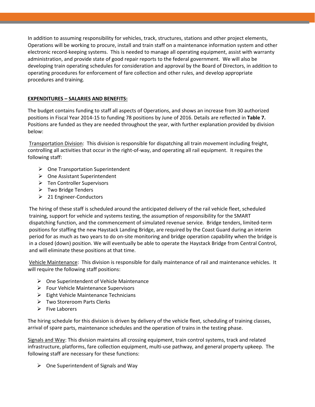In addition to assuming responsibility for vehicles, track, structures, stations and other project elements, Operations will be working to procure, install and train staff on a maintenance information system and other electronic record‐keeping systems. This is needed to manage all operating equipment, assist with warranty administration, and provide state of good repair reports to the federal government. We will also be developing train operating schedules for consideration and approval by the Board of Directors, in addition to operating procedures for enforcement of fare collection and other rules, and develop appropriate procedures and training.

## **EXPENDITURES – SALARIES AND BENEFITS:**

The budget contains funding to staff all aspects of Operations, and shows an increase from 30 authorized positions in Fiscal Year 2014‐15 to funding 78 positions by June of 2016. Details are reflected in **Table 7.** Positions are funded as they are needed throughout the year, with further explanation provided by division below:

Transportation Division: This division is responsible for dispatching all train movement including freight, controlling all activities that occur in the right‐of‐way, and operating all rail equipment. It requires the following staff:

- $\triangleright$  One Transportation Superintendent
- $\triangleright$  One Assistant Superintendent
- Ten Controller Supervisors
- $\triangleright$  Two Bridge Tenders
- 21 Engineer‐Conductors

The hiring of these staff is scheduled around the anticipated delivery of the rail vehicle fleet, scheduled training, support for vehicle and systems testing, the assumption of responsibility for the SMART dispatching function, and the commencement of simulated revenue service. Bridge tenders, limited‐term positions for staffing the new Haystack Landing Bridge, are required by the Coast Guard during an interim period for as much as two years to do on‐site monitoring and bridge operation capability when the bridge is in a closed (down) position. We will eventually be able to operate the Haystack Bridge from Central Control, and will eliminate these positions at that time.

Vehicle Maintenance: This division is responsible for daily maintenance of rail and maintenance vehicles. It will require the following staff positions:

- $\triangleright$  One Superintendent of Vehicle Maintenance
- $\triangleright$  Four Vehicle Maintenance Supervisors
- $\triangleright$  Eight Vehicle Maintenance Technicians
- Two Storeroom Parts Clerks
- $\triangleright$  Five Laborers

The hiring schedule for this division is driven by delivery of the vehicle fleet, scheduling of training classes, arrival of spare parts, maintenance schedules and the operation of trains in the testing phase.

Signals and Way: This division maintains all crossing equipment, train control systems, track and related infrastructure, platforms, fare collection equipment, multi-use pathway, and general property upkeep. The following staff are necessary for these functions:

 $\triangleright$  One Superintendent of Signals and Way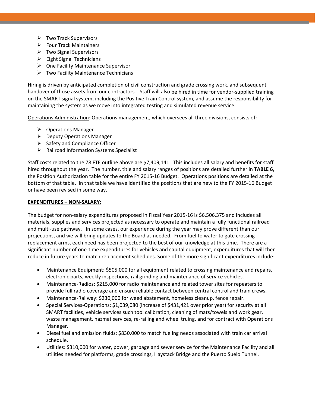- $\triangleright$  Two Track Supervisors
- $\triangleright$  Four Track Maintainers
- $\triangleright$  Two Signal Supervisors
- $\triangleright$  Eight Signal Technicians
- $\triangleright$  One Facility Maintenance Supervisor
- $\triangleright$  Two Facility Maintenance Technicians

Hiring is driven by anticipated completion of civil construction and grade crossing work, and subsequent handover of those assets from our contractors. Staff will also be hired in time for vendor‐supplied training on the SMART signal system, including the Positive Train Control system, and assume the responsibility for maintaining the system as we move into integrated testing and simulated revenue service.

Operations Administration: Operations management, which oversees all three divisions, consists of:

- $\triangleright$  Operations Manager
- $\triangleright$  Deputy Operations Manager
- $\triangleright$  Safety and Compliance Officer
- $\triangleright$  Railroad Information Systems Specialist

Staff costs related to the 78 FTE outline above are \$7,409,141. This includes all salary and benefits for staff hired throughout the year. The number, title and salary ranges of positions are detailed further in **TABLE 6,** the Position Authorization table for the entire FY 2015‐16 Budget. Operations positions are detailed at the bottom of that table. In that table we have identified the positions that are new to the FY 2015‐16 Budget or have been revised in some way.

#### **EXPENDITURES – NON‐SALARY:**

The budget for non‐salary expenditures proposed in Fiscal Year 2015‐16 is \$6,506,375 and includes all materials, supplies and services projected as necessary to operate and maintain a fully functional railroad and multi-use pathway. In some cases, our experience during the year may prove different than our projections, and we will bring updates to the Board as needed. From fuel to water to gate crossing replacement arms, each need has been projected to the best of our knowledge at this time. There are a significant number of one-time expenditures for vehicles and capital equipment, expenditures that will then reduce in future years to match replacement schedules. Some of the more significant expenditures include:

- Maintenance Equipment: \$505,000 for all equipment related to crossing maintenance and repairs, electronic parts, weekly inspections, rail grinding and maintenance of service vehicles.
- Maintenance-Radios: \$215,000 for radio maintenance and related tower sites for repeaters to provide full radio coverage and ensure reliable contact between central control and train crews.
- Maintenance-Railway: \$230,000 for weed abatement, homeless cleanup, fence repair.
- Special Services‐Operations: \$1,039,080 (increase of \$431,421 over prior year) for security at all SMART facilities, vehicle services such tool calibration, cleaning of mats/towels and work gear, waste management, hazmat services, re-railing and wheel truing, and for contract with Operations Manager.
- Diesel fuel and emission fluids: \$830,000 to match fueling needs associated with train car arrival schedule.
- Utilities: \$310,000 for water, power, garbage and sewer service for the Maintenance Facility and all utilities needed for platforms, grade crossings, Haystack Bridge and the Puerto Suelo Tunnel.